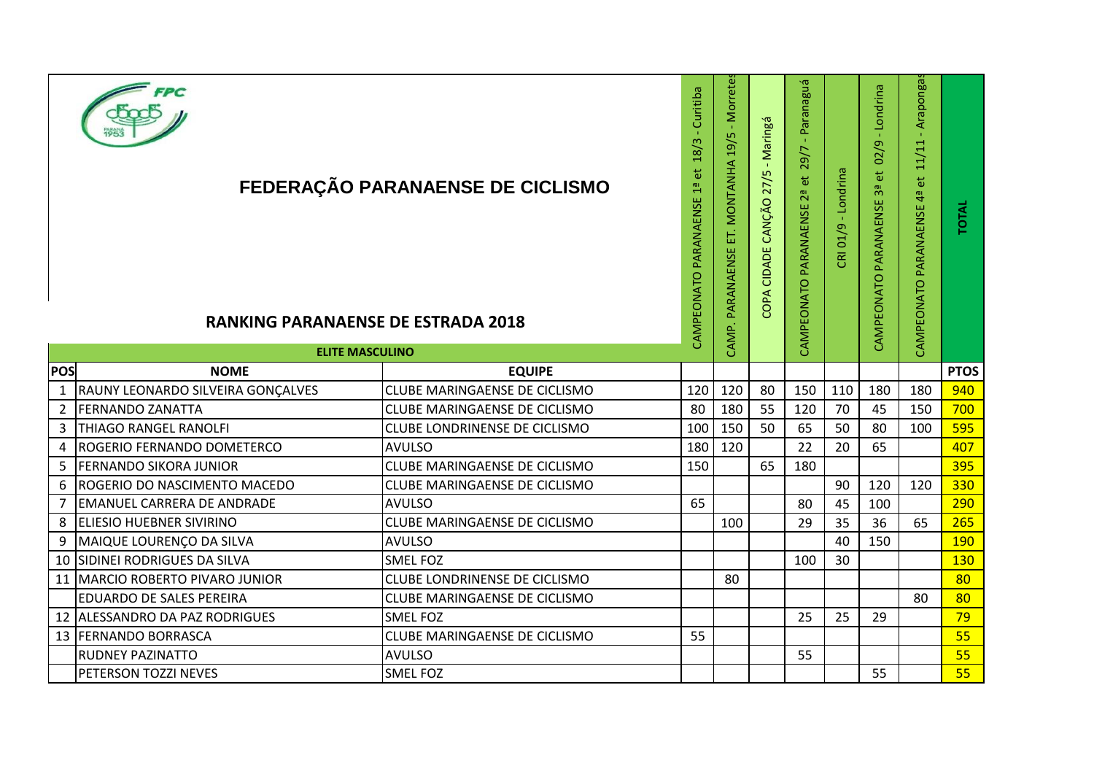|              | <b>RANKING PARANAENSE DE ESTRADA 2018</b><br><b>ELITE MASCULINO</b> | FEDERAÇÃO PARANAENSE DE CICLISMO     | 18/3 - Curitiba<br>$\ddot{\sigma}$<br>CAMPEONATO PARANAENSE 1ª | CAMP. PARANAENSE ET. MONTANHA 19/5 - Morretes | - Maringá<br>COPA CIDADE CANÇÃO 27/5 | Paranaguá<br>$\mathbf{1}$<br>CAMPEONATO PARANAENSE 2ª et 29/7 | CRI 01/9 - Londrina | 02/9 - Londrina<br>CAMPEONATO PARANAENSE 3ª et | - Arapongas<br>11/11<br>$\overline{\mathbf{e}}$<br>CAMPEONATO PARANAENSE 4ª | <b>TOTAL</b> |
|--------------|---------------------------------------------------------------------|--------------------------------------|----------------------------------------------------------------|-----------------------------------------------|--------------------------------------|---------------------------------------------------------------|---------------------|------------------------------------------------|-----------------------------------------------------------------------------|--------------|
| POS          | <b>NOME</b>                                                         | <b>EQUIPE</b>                        |                                                                |                                               |                                      |                                                               |                     |                                                |                                                                             | <b>PTOS</b>  |
| $\mathbf{1}$ | RAUNY LEONARDO SILVEIRA GONÇALVES                                   | <b>CLUBE MARINGAENSE DE CICLISMO</b> | 120                                                            | 120                                           | 80                                   | 150                                                           | 110                 | 180                                            | 180                                                                         | 940          |
| 2            | <b>FERNANDO ZANATTA</b>                                             | <b>CLUBE MARINGAENSE DE CICLISMO</b> | 80                                                             | 180                                           | 55                                   | 120                                                           | 70                  | 45                                             | 150                                                                         | 700          |
| 3            | <b>THIAGO RANGEL RANOLFI</b>                                        | <b>CLUBE LONDRINENSE DE CICLISMO</b> | 100                                                            | 150                                           | 50                                   | 65                                                            | 50                  | 80                                             | 100                                                                         | 595          |
| 4            | ROGERIO FERNANDO DOMETERCO                                          | <b>AVULSO</b>                        | 180                                                            | 120                                           |                                      | 22                                                            | 20                  | 65                                             |                                                                             | 407          |
| 5            | <b>FERNANDO SIKORA JUNIOR</b>                                       | <b>CLUBE MARINGAENSE DE CICLISMO</b> | 150                                                            |                                               | 65                                   | 180                                                           |                     |                                                |                                                                             | 395          |
| 6            | ROGERIO DO NASCIMENTO MACEDO                                        | <b>CLUBE MARINGAENSE DE CICLISMO</b> |                                                                |                                               |                                      |                                                               | 90                  | 120                                            | 120                                                                         | 330          |
| 7            | <b>EMANUEL CARRERA DE ANDRADE</b>                                   | <b>AVULSO</b>                        | 65                                                             |                                               |                                      | 80                                                            | 45                  | 100                                            |                                                                             | 290          |
| 8            | <b>ELIESIO HUEBNER SIVIRINO</b>                                     | <b>CLUBE MARINGAENSE DE CICLISMO</b> |                                                                | 100                                           |                                      | 29                                                            | 35                  | 36                                             | 65                                                                          | 265          |
| 9            | MAIQUE LOURENÇO DA SILVA                                            | <b>AVULSO</b>                        |                                                                |                                               |                                      |                                                               | 40                  | 150                                            |                                                                             | 190          |
| 10           | <b>SIDINEI RODRIGUES DA SILVA</b>                                   | <b>SMEL FOZ</b>                      |                                                                |                                               |                                      | 100                                                           | 30                  |                                                |                                                                             | 130          |
| 11           | <b>MARCIO ROBERTO PIVARO JUNIOR</b>                                 | <b>CLUBE LONDRINENSE DE CICLISMO</b> |                                                                | 80                                            |                                      |                                                               |                     |                                                |                                                                             | 80           |
|              | <b>EDUARDO DE SALES PEREIRA</b>                                     | <b>CLUBE MARINGAENSE DE CICLISMO</b> |                                                                |                                               |                                      |                                                               |                     |                                                | 80                                                                          | 80           |
|              | 12 ALESSANDRO DA PAZ RODRIGUES                                      | <b>SMELFOZ</b>                       |                                                                |                                               |                                      | 25                                                            | 25                  | 29                                             |                                                                             | 79           |
|              | 13 FERNANDO BORRASCA                                                | <b>CLUBE MARINGAENSE DE CICLISMO</b> | 55                                                             |                                               |                                      |                                                               |                     |                                                |                                                                             | 55           |
|              | <b>RUDNEY PAZINATTO</b>                                             | <b>AVULSO</b>                        |                                                                |                                               |                                      | 55                                                            |                     |                                                |                                                                             | 55           |
|              | PETERSON TOZZI NEVES                                                | <b>SMEL FOZ</b>                      |                                                                |                                               |                                      |                                                               |                     | 55                                             |                                                                             | 55           |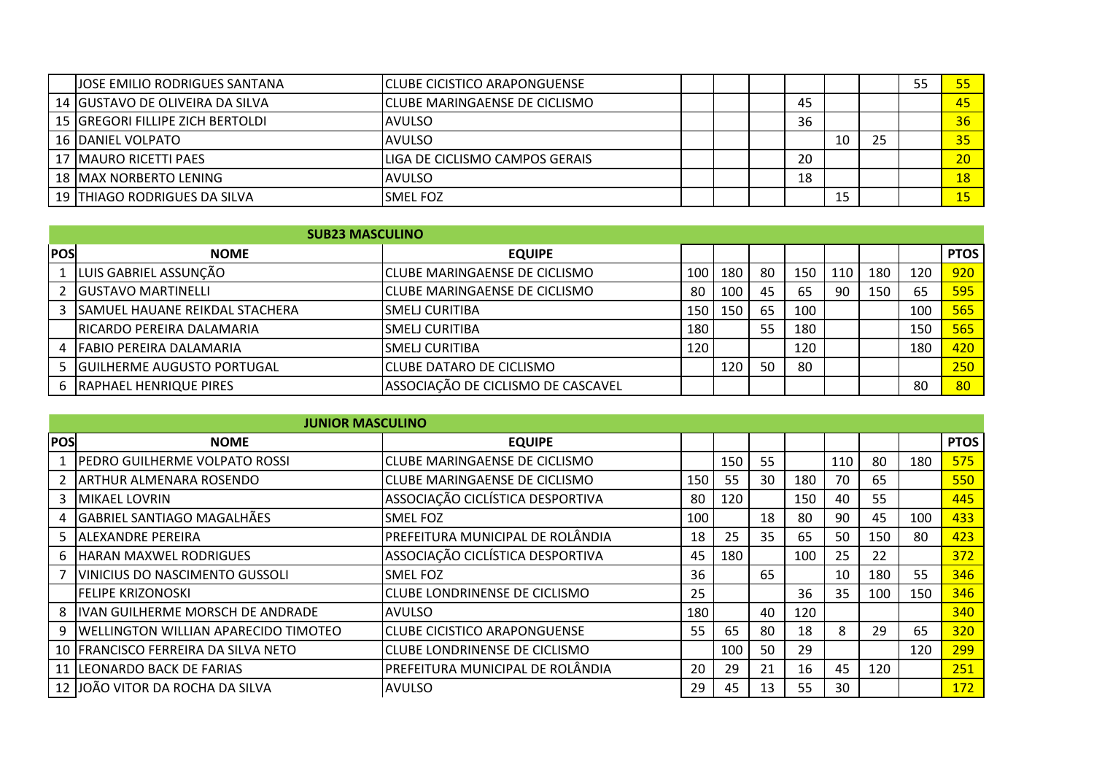| <b>JOSE EMILIO RODRIGUES SANTANA</b> | <b>ICLUBE CICISTICO ARAPONGUENSE</b>    |  |    |    | 55 |    |
|--------------------------------------|-----------------------------------------|--|----|----|----|----|
| 14 GUSTAVO DE OLIVEIRA DA SILVA      | ICLUBE MARINGAENSE DE CICLISMO          |  | 45 |    |    | 45 |
| 15 GREGORI FILLIPE ZICH BERTOLDI     | IAVULSO                                 |  | 36 |    |    | 36 |
| 16 IDANIEL VOLPATO                   | IAVULSO                                 |  |    | 25 |    | 35 |
| 17   MAURO RICETTI PAES              | <b>I</b> LIGA DE CICLISMO CAMPOS GERAIS |  | 20 |    |    | 20 |
| 18   MAX NORBERTO LENING             | <b>AVULSO</b>                           |  | 18 |    |    | 18 |
| 19 ITHIAGO RODRIGUES DA SILVA        | ISMEL FOZ                               |  |    |    |    |    |

|            | <b>SUB23 MASCULINO</b>           |                                        |                  |     |    |     |     |     |     |             |
|------------|----------------------------------|----------------------------------------|------------------|-----|----|-----|-----|-----|-----|-------------|
| <b>POS</b> | <b>NOME</b>                      | <b>EQUIPE</b>                          |                  |     |    |     |     |     |     | <b>PTOS</b> |
|            | 1 LUIS GABRIEL ASSUNÇÃO          | <b>I</b> CLUBE MARINGAENSE DE CICLISMO | 100 l            | 180 | 80 | 150 | 110 | 180 | 120 | 920         |
|            | 2 <b>IGUSTAVO MARTINELLI</b>     | <b>ICLUBE MARINGAENSE DE CICLISMO</b>  | -80              | 100 | 45 | 65  | 90  | 150 | 65  | 595         |
|            | 3 SAMUEL HAUANE REIKDAL STACHERA | ISMELJ CURITIBA                        | 150 I            | 150 | 65 | 100 |     |     | 100 | 565         |
|            | RICARDO PEREIRA DALAMARIA        | ISMELJ CURITIBA                        | 180 <sub>1</sub> |     | 55 | 180 |     |     | 150 | 565         |
|            | 4   FABIO PEREIRA DALAMARIA      | <b>SMELJ CURITIBA</b>                  | 120              |     |    | 120 |     |     | 180 | 420         |
|            | 5 GUILHERME AUGUSTO PORTUGAL     | <b>I</b> CLUBE DATARO DE CICLISMO      |                  | 120 | 50 | 80  |     |     |     | 250         |
|            | 6   RAPHAEL HENRIQUE PIRES       | ASSOCIAÇÃO DE CICLISMO DE CASCAVEL     |                  |     |    |     |     |     | 80  | 80          |

|            | <b>JUNIOR MASCULINO</b>                     |                                      |     |     |    |     |     |     |     |             |
|------------|---------------------------------------------|--------------------------------------|-----|-----|----|-----|-----|-----|-----|-------------|
| <b>POS</b> | <b>NOME</b>                                 | <b>EQUIPE</b>                        |     |     |    |     |     |     |     | <b>PTOS</b> |
|            | <b>PEDRO GUILHERME VOLPATO ROSSI</b>        | <b>CLUBE MARINGAENSE DE CICLISMO</b> |     | 150 | 55 |     | 110 | 80  | 180 | 575         |
|            | <b>JARTHUR ALMENARA ROSENDO</b>             | <b>CLUBE MARINGAENSE DE CICLISMO</b> | 150 | 55  | 30 | 180 | 70  | 65  |     | 550         |
|            | 3   MIKAEL LOVRIN                           | ASSOCIAÇÃO CICLÍSTICA DESPORTIVA     | 80  | 120 |    | 150 | 40  | 55  |     | 445         |
|            | 4 GABRIEL SANTIAGO MAGALHÃES                | <b>SMEL FOZ</b>                      | 100 |     | 18 | 80  | 90  | 45  | 100 | 433         |
|            | 5 ALEXANDRE PEREIRA                         | PREFEITURA MUNICIPAL DE ROLÂNDIA     | 18  | 25  | 35 | 65  | 50  | 150 | 80  | 423         |
| 6.         | <b>HARAN MAXWEL RODRIGUES</b>               | ASSOCIAÇÃO CICLÍSTICA DESPORTIVA     | 45  | 180 |    | 100 | 25  | 22  |     | 372         |
|            | <b>VINICIUS DO NASCIMENTO GUSSOLI</b>       | <b>SMEL FOZ</b>                      | 36  |     | 65 |     | 10  | 180 | 55  | 346         |
|            | FELIPE KRIZONOSKI                           | <b>CLUBE LONDRINENSE DE CICLISMO</b> | 25  |     |    | 36  | 35  | 100 | 150 | 346         |
| 8          | <b>IVAN GUILHERME MORSCH DE ANDRADE</b>     | <b>AVULSO</b>                        | 180 |     | 40 | 120 |     |     |     | 340         |
| 9          | <b>WELLINGTON WILLIAN APARECIDO TIMOTEO</b> | <b>CLUBE CICISTICO ARAPONGUENSE</b>  | 55  | 65  | 80 | 18  | 8   | 29  | 65  | 320         |
|            | 10   FRANCISCO FERREIRA DA SILVA NETO       | <b>CLUBE LONDRINENSE DE CICLISMO</b> |     | 100 | 50 | 29  |     |     | 120 | 299         |
|            | 11 LEONARDO BACK DE FARIAS                  | PREFEITURA MUNICIPAL DE ROLÂNDIA     | 20  | 29  | 21 | 16  | 45  | 120 |     | 251         |
|            | 12 JJOÃO VITOR DA ROCHA DA SILVA            | <b>AVULSO</b>                        | 29  | 45  | 13 | 55  | 30  |     |     | 172         |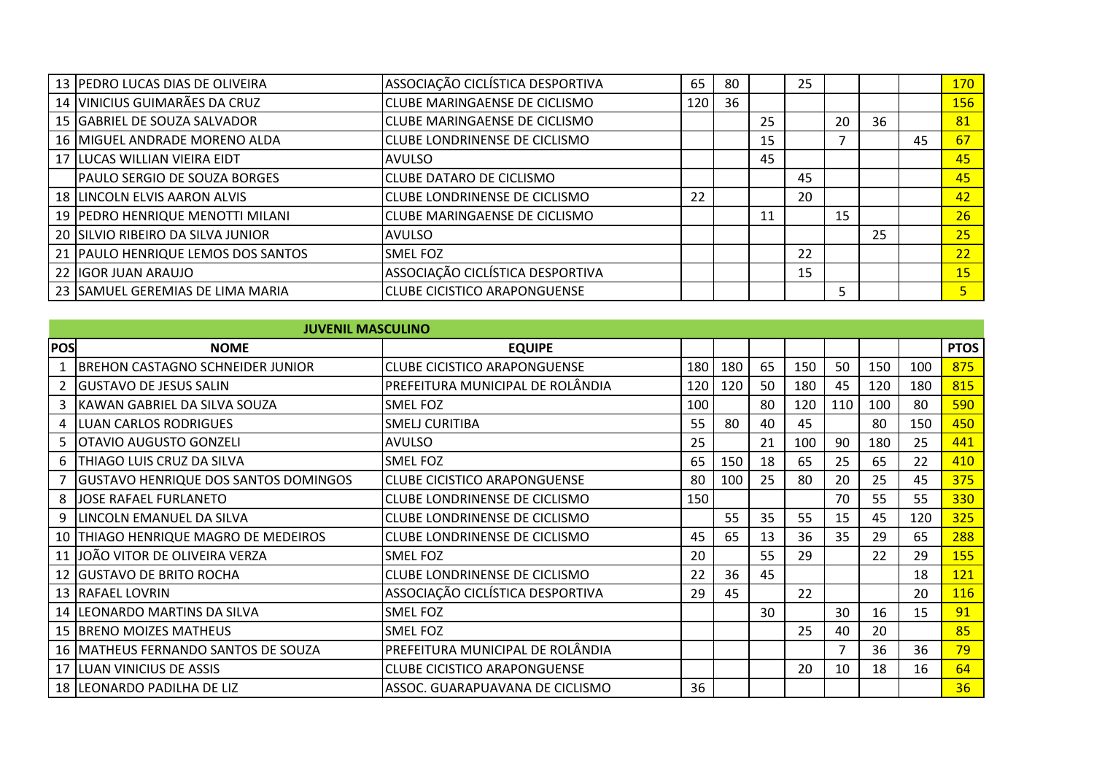| 13 PEDRO LUCAS DIAS DE OLIVEIRA     | ASSOCIAÇÃO CICLÍSTICA DESPORTIVA       | 65  | 80 |    | 25 |    |    |    | 170             |
|-------------------------------------|----------------------------------------|-----|----|----|----|----|----|----|-----------------|
| 14 VINICIUS GUIMARÃES DA CRUZ       | <b>I</b> CLUBE MARINGAENSE DE CICLISMO | 120 | 36 |    |    |    |    |    | 156             |
| 15 GABRIEL DE SOUZA SALVADOR        | <b>CLUBE MARINGAENSE DE CICLISMO</b>   |     |    | 25 |    | 20 | 36 |    | 81              |
| 16 MIGUEL ANDRADE MORENO ALDA       | <b>CLUBE LONDRINENSE DE CICLISMO</b>   |     |    | 15 |    |    |    | 45 | 67              |
| 17 LUCAS WILLIAN VIEIRA EIDT        | <b>AVULSO</b>                          |     |    | 45 |    |    |    |    | 45              |
| <b>PAULO SERGIO DE SOUZA BORGES</b> | <b>CLUBE DATARO DE CICLISMO</b>        |     |    |    | 45 |    |    |    | 45              |
| 18 LINCOLN ELVIS AARON ALVIS        | <b>ICLUBE LONDRINENSE DE CICLISMO</b>  | 22  |    |    | 20 |    |    |    | 42              |
| 19 PEDRO HENRIQUE MENOTTI MILANI    | <b>CLUBE MARINGAENSE DE CICLISMO</b>   |     |    | 11 |    | 15 |    |    | 26              |
| 20 SILVIO RIBEIRO DA SILVA JUNIOR   | <b>AVULSO</b>                          |     |    |    |    |    | 25 |    | 25              |
| 21 PAULO HENRIQUE LEMOS DOS SANTOS  | <b>SMELFOZ</b>                         |     |    |    | 22 |    |    |    | 22              |
| 22 IIGOR JUAN ARAUJO                | ASSOCIAÇÃO CICLÍSTICA DESPORTIVA       |     |    |    | 15 |    |    |    | 15 <sub>2</sub> |
| 23 SAMUEL GEREMIAS DE LIMA MARIA    | <b>CLUBE CICISTICO ARAPONGUENSE</b>    |     |    |    |    |    |    |    |                 |

|            | <b>JUVENIL MASCULINO</b>                    |                                      |     |     |    |     |                |     |     |             |
|------------|---------------------------------------------|--------------------------------------|-----|-----|----|-----|----------------|-----|-----|-------------|
| <b>POS</b> | <b>NOME</b>                                 | <b>EQUIPE</b>                        |     |     |    |     |                |     |     | <b>PTOS</b> |
|            | <b>BREHON CASTAGNO SCHNEIDER JUNIOR</b>     | <b>CLUBE CICISTICO ARAPONGUENSE</b>  | 180 | 180 | 65 | 150 | 50             | 150 | 100 | 875         |
|            | <b>IGUSTAVO DE JESUS SALIN</b>              | PREFEITURA MUNICIPAL DE ROLÂNDIA     | 120 | 120 | 50 | 180 | 45             | 120 | 180 | 815         |
| 3          | <b>KAWAN GABRIEL DA SILVA SOUZA</b>         | <b>SMEL FOZ</b>                      | 100 |     | 80 | 120 | 110            | 100 | 80  | 590         |
|            | 4   LUAN CARLOS RODRIGUES                   | <b>SMELJ CURITIBA</b>                | 55  | 80  | 40 | 45  |                | 80  | 150 | 450         |
| 5.         | <b>OTAVIO AUGUSTO GONZELI</b>               | <b>AVULSO</b>                        | 25  |     | 21 | 100 | 90             | 180 | 25  | 441         |
| 6.         | THIAGO LUIS CRUZ DA SILVA                   | <b>SMEL FOZ</b>                      | 65  | 150 | 18 | 65  | 25             | 65  | 22  | 410         |
|            | <b>GUSTAVO HENRIQUE DOS SANTOS DOMINGOS</b> | <b>CLUBE CICISTICO ARAPONGUENSE</b>  | 80  | 100 | 25 | 80  | 20             | 25  | 45  | 375         |
| 8          | JOSE RAFAEL FURLANETO                       | CLUBE LONDRINENSE DE CICLISMO        | 150 |     |    |     | 70             | 55  | 55  | 330         |
| 9          | LINCOLN EMANUEL DA SILVA                    | <b>CLUBE LONDRINENSE DE CICLISMO</b> |     | 55  | 35 | 55  | 15             | 45  | 120 | 325         |
|            | 10 THIAGO HENRIQUE MAGRO DE MEDEIROS        | <b>CLUBE LONDRINENSE DE CICLISMO</b> | 45  | 65  | 13 | 36  | 35             | 29  | 65  | 288         |
|            | 11 JJOÃO VITOR DE OLIVEIRA VERZA            | <b>SMELFOZ</b>                       | 20  |     | 55 | 29  |                | 22  | 29  | 155         |
|            | 12 GUSTAVO DE BRITO ROCHA                   | <b>CLUBE LONDRINENSE DE CICLISMO</b> | 22  | 36  | 45 |     |                |     | 18  | <b>121</b>  |
|            | 13 RAFAEL LOVRIN                            | ASSOCIAÇÃO CICLÍSTICA DESPORTIVA     | 29  | 45  |    | 22  |                |     | 20  | <b>116</b>  |
|            | 14 LEONARDO MARTINS DA SILVA                | <b>SMEL FOZ</b>                      |     |     | 30 |     | 30             | 16  | 15  | 91          |
|            | <b>15 BRENO MOIZES MATHEUS</b>              | <b>SMELFOZ</b>                       |     |     |    | 25  | 40             | 20  |     | 85          |
|            | 16   MATHEUS FERNANDO SANTOS DE SOUZA       | PREFEITURA MUNICIPAL DE ROLÂNDIA     |     |     |    |     | $\overline{7}$ | 36  | 36  | 79          |
|            | 17 LUAN VINICIUS DE ASSIS                   | <b>CLUBE CICISTICO ARAPONGUENSE</b>  |     |     |    | 20  | 10             | 18  | 16  | 64          |
|            | 18 LEONARDO PADILHA DE LIZ                  | ASSOC. GUARAPUAVANA DE CICLISMO      | 36  |     |    |     |                |     |     | 36          |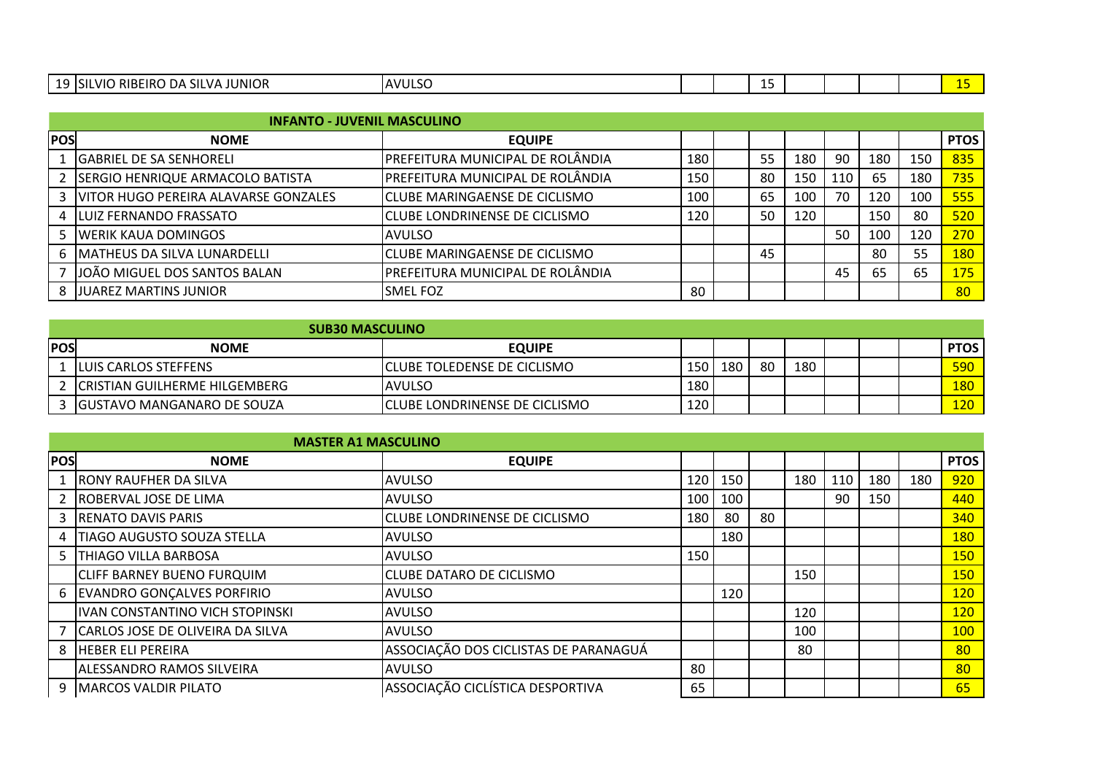| $\overline{\phantom{a}}$<br>--- | <b>SILVA</b><br>,UNIOR<br>וחוח<br>≀ הי<br>/11<br>Δ<br>`'<br><b>NDE.</b><br>- הר | <b>NULSC</b><br>$^{\prime}$ |  | -- |  |  |  |
|---------------------------------|---------------------------------------------------------------------------------|-----------------------------|--|----|--|--|--|
|                                 |                                                                                 |                             |  |    |  |  |  |

|            | <b>INFANTO - JUVENIL MASCULINO</b>       |                                        |     |    |     |     |     |     |             |
|------------|------------------------------------------|----------------------------------------|-----|----|-----|-----|-----|-----|-------------|
| <b>POS</b> | <b>NOME</b>                              | <b>EQUIPE</b>                          |     |    |     |     |     |     | <b>PTOS</b> |
|            | <b>IGABRIEL DE SA SENHORELI</b>          | IPREFEITURA MUNICIPAL DE ROLÂNDIA      | 180 | 55 | 180 | 90  | 180 | 150 | 835         |
|            | 2   SERGIO HENRIQUE ARMACOLO BATISTA     | PREFEITURA MUNICIPAL DE ROLÂNDIA       | 150 | 80 | 150 | 110 | 65  | 180 | 735         |
|            | 3   VITOR HUGO PEREIRA ALAVARSE GONZALES | <b>CLUBE MARINGAENSE DE CICLISMO</b>   | 100 | 65 | 100 | 70  | 120 | 100 | 555         |
|            | 4 LUIZ FERNANDO FRASSATO                 | <b>I</b> CLUBE LONDRINENSE DE CICLISMO | 120 | 50 | 120 |     | 150 | 80  | 520         |
|            | 5   WERIK KAUA DOMINGOS                  | IAVULSO                                |     |    |     | 50  | 100 | 120 | 270         |
|            | 6   MATHEUS DA SILVA LUNARDELLI          | <b>I</b> CLUBE MARINGAENSE DE CICLISMO |     | 45 |     |     | 80  | 55  | 180         |
|            | JJOÃO MIGUEL DOS SANTOS BALAN            | PREFEITURA MUNICIPAL DE ROLÂNDIA       |     |    |     | 45  | 65  | 65  | <b>175</b>  |
|            | <b>JUAREZ MARTINS JUNIOR</b>             | <b>SMEL FOZ</b>                        | 80  |    |     |     |     |     | 80          |

|            | <b>SUB30 MASCULINO</b>          |                                      |     |     |    |     |  |             |
|------------|---------------------------------|--------------------------------------|-----|-----|----|-----|--|-------------|
| <b>POS</b> | <b>NOME</b>                     | <b>EQUIPE</b>                        |     |     |    |     |  | <b>PTOS</b> |
|            | LILUIS CARLOS STEFFENS          | <b>I</b> CLUBE TOLEDENSE DE CICLISMO | 150 | 180 | 80 | 180 |  | 590         |
|            | 2 CRISTIAN GUILHERME HILGEMBERG | <b>AVULSO</b>                        | 180 |     |    |     |  | <b>180</b>  |
|            | IGUSTAVO MANGANARO DE SOUZA     | ICLUBE LONDRINENSE DE CICLISMO       | 120 |     |    |     |  | <b>120</b>  |

|     | <b>MASTER A1 MASCULINO</b>        |                                       |     |     |    |     |     |     |     |             |
|-----|-----------------------------------|---------------------------------------|-----|-----|----|-----|-----|-----|-----|-------------|
| POS | <b>NOME</b>                       | <b>EQUIPE</b>                         |     |     |    |     |     |     |     | <b>PTOS</b> |
|     | <b>RONY RAUFHER DA SILVA</b>      | AVULSO                                | 120 | 150 |    | 180 | 110 | 180 | 180 | 920         |
|     | ROBERVAL JOSE DE LIMA             | <b>AVULSO</b>                         | 100 | 100 |    |     | 90  | 150 |     | 440         |
|     | 3 RENATO DAVIS PARIS              | CLUBE LONDRINENSE DE CICLISMO         | 180 | 80  | 80 |     |     |     |     | 340         |
| 4   | <b>TIAGO AUGUSTO SOUZA STELLA</b> | <b>AVULSO</b>                         |     | 180 |    |     |     |     |     | 180         |
| 5 I | <b>THIAGO VILLA BARBOSA</b>       | <b>AVULSO</b>                         | 150 |     |    |     |     |     |     | <b>150</b>  |
|     | <b>CLIFF BARNEY BUENO FURQUIM</b> | <b>CLUBE DATARO DE CICLISMO</b>       |     |     |    | 150 |     |     |     | <b>150</b>  |
|     | 6 EVANDRO GONCALVES PORFIRIO      | IAVULSO                               |     | 120 |    |     |     |     |     | 120         |
|     | IVAN CONSTANTINO VICH STOPINSKI   | <b>AVULSO</b>                         |     |     |    | 120 |     |     |     | 120         |
|     | CARLOS JOSE DE OLIVEIRA DA SILVA  | IAVULSO                               |     |     |    | 100 |     |     |     | <b>100</b>  |
| 8   | <b>HEBER ELI PEREIRA</b>          | ASSOCIAÇÃO DOS CICLISTAS DE PARANAGUÁ |     |     |    | 80  |     |     |     | 80          |
|     | <b>ALESSANDRO RAMOS SILVEIRA</b>  | <b>JAVULSO</b>                        | 80  |     |    |     |     |     |     | 80          |
|     | 9   MARCOS VALDIR PILATO          | ASSOCIAÇÃO CICLÍSTICA DESPORTIVA      | 65  |     |    |     |     |     |     | 65          |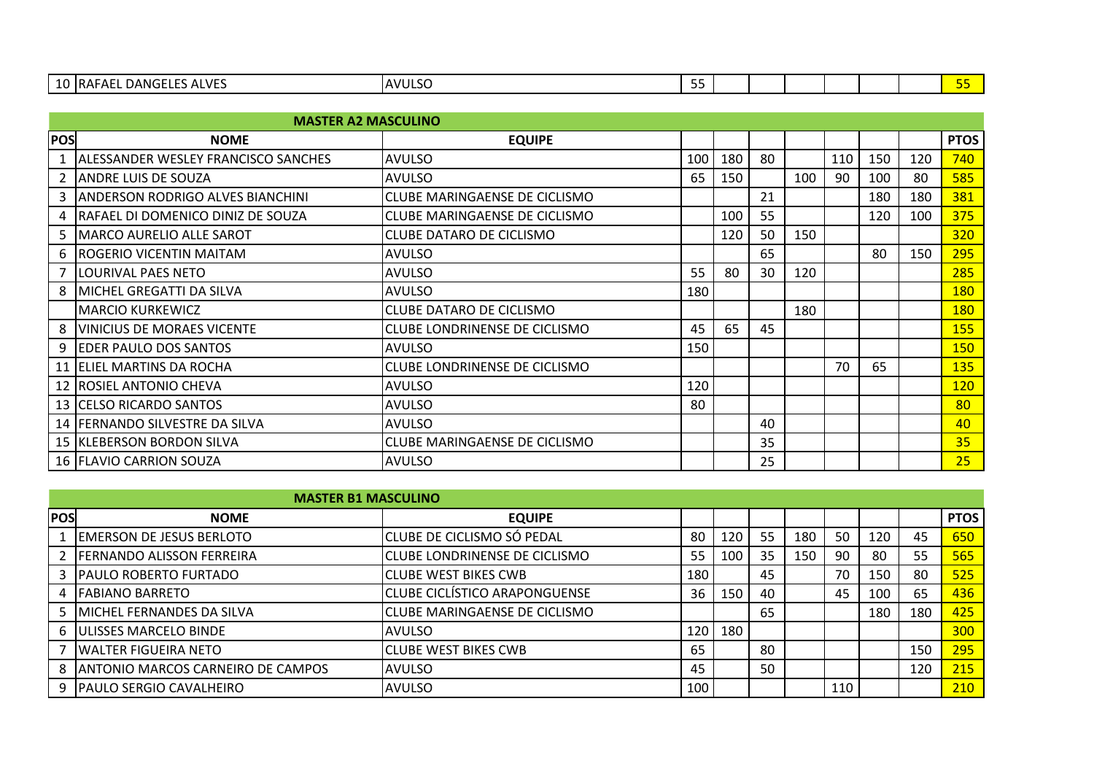|            | <b>MASTER A2 MASCULINO</b>                 |                                      |     |     |    |     |     |     |     |             |
|------------|--------------------------------------------|--------------------------------------|-----|-----|----|-----|-----|-----|-----|-------------|
| <b>POS</b> | <b>NOME</b>                                | <b>EQUIPE</b>                        |     |     |    |     |     |     |     | <b>PTOS</b> |
|            | <b>ALESSANDER WESLEY FRANCISCO SANCHES</b> | <b>AVULSO</b>                        | 100 | 180 | 80 |     | 110 | 150 | 120 | 740         |
|            | <b>ANDRE LUIS DE SOUZA</b>                 | <b>AVULSO</b>                        | 65  | 150 |    | 100 | 90  | 100 | 80  | 585         |
|            | 3   ANDERSON RODRIGO ALVES BIANCHINI       | <b>CLUBE MARINGAENSE DE CICLISMO</b> |     |     | 21 |     |     | 180 | 180 | 381         |
|            | 4   RAFAEL DI DOMENICO DINIZ DE SOUZA      | <b>CLUBE MARINGAENSE DE CICLISMO</b> |     | 100 | 55 |     |     | 120 | 100 | 375         |
|            | 5   MARCO AURELIO ALLE SAROT               | CLUBE DATARO DE CICLISMO             |     | 120 | 50 | 150 |     |     |     | 320         |
|            | 6 ROGERIO VICENTIN MAITAM                  | <b>AVULSO</b>                        |     |     | 65 |     |     | 80  | 150 | 295         |
|            | <b>LOURIVAL PAES NETO</b>                  | <b>AVULSO</b>                        | 55  | 80  | 30 | 120 |     |     |     | 285         |
|            | 8   MICHEL GREGATTI DA SILVA               | <b>AVULSO</b>                        | 180 |     |    |     |     |     |     | <b>180</b>  |
|            | <b>MARCIO KURKEWICZ</b>                    | <b>CLUBE DATARO DE CICLISMO</b>      |     |     |    | 180 |     |     |     | <b>180</b>  |
| 8          | <b>VINICIUS DE MORAES VICENTE</b>          | CLUBE LONDRINENSE DE CICLISMO        | 45  | 65  | 45 |     |     |     |     | 155         |
| 9          | <b>EDER PAULO DOS SANTOS</b>               | <b>AVULSO</b>                        | 150 |     |    |     |     |     |     | 150         |
|            | 11 ELIEL MARTINS DA ROCHA                  | <b>CLUBE LONDRINENSE DE CICLISMO</b> |     |     |    |     | 70  | 65  |     | 135         |
|            | 12 ROSIEL ANTONIO CHEVA                    | <b>AVULSO</b>                        | 120 |     |    |     |     |     |     | 120         |
|            | 13 CELSO RICARDO SANTOS                    | <b>AVULSO</b>                        | 80  |     |    |     |     |     |     | 80          |
|            | 14 FERNANDO SILVESTRE DA SILVA             | <b>AVULSO</b>                        |     |     | 40 |     |     |     |     | 40          |
|            | 15   KLEBERSON BORDON SILVA                | <b>CLUBE MARINGAENSE DE CICLISMO</b> |     |     | 35 |     |     |     |     | 35          |
|            | 16   FLAVIO CARRION SOUZA                  | <b>AVULSO</b>                        |     |     | 25 |     |     |     |     | 25          |

|            | <b>MASTER B1 MASCULINO</b>            |                                       |     |     |    |     |     |     |     |             |
|------------|---------------------------------------|---------------------------------------|-----|-----|----|-----|-----|-----|-----|-------------|
| <b>POS</b> | <b>NOME</b>                           | <b>EQUIPE</b>                         |     |     |    |     |     |     |     | <b>PTOS</b> |
|            | <b>IEMERSON DE JESUS BERLOTO</b>      | <b>CLUBE DE CICLISMO SÓ PEDAL</b>     | 80  | 120 | 55 | 180 | 50  | 120 | 45  | 650         |
|            | <b>FERNANDO ALISSON FERREIRA</b>      | <b>ICLUBE LONDRINENSE DE CICLISMO</b> | 55  | 100 | 35 | 150 | 90  | 80  | 55  | 565         |
|            | 3   PAULO ROBERTO FURTADO             | <b>CLUBE WEST BIKES CWB</b>           | 180 |     | 45 |     | 70  | 150 | 80  | 525         |
|            | <b>FABIANO BARRETO</b>                | <b>CLUBE CICLÍSTICO ARAPONGUENSE</b>  | 36  | 150 | 40 |     | 45  | 100 | 65  | 436         |
|            | 5   MICHEL FERNANDES DA SILVA         | <b>CLUBE MARINGAENSE DE CICLISMO</b>  |     |     | 65 |     |     | 180 | 180 | 425         |
|            | 6 <b>JULISSES MARCELO BINDE</b>       | IAVULSO                               | 120 | 180 |    |     |     |     |     | 300         |
|            | <b>WALTER FIGUEIRA NETO</b>           | <b>I</b> CLUBE WEST BIKES CWB         | 65  |     | 80 |     |     |     | 150 | 295         |
|            | 8   ANTONIO MARCOS CARNEIRO DE CAMPOS | IAVULSO                               | 45  |     | 50 |     |     |     | 120 | 215         |
|            | 9   PAULO SERGIO CAVALHEIRO           | <b>AVULSO</b>                         | 100 |     |    |     | 110 |     |     | 210         |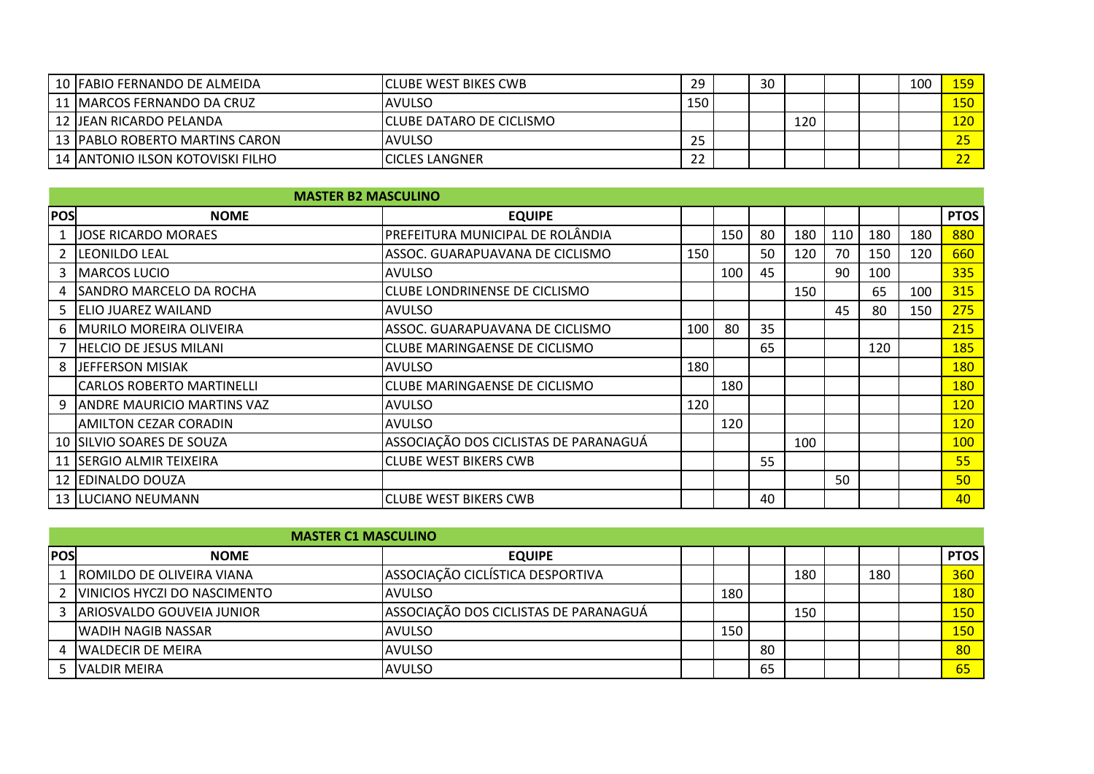| 10 FABIO FERNANDO DE ALMEIDA      | <b>ICLUBE WEST BIKES CWB</b> | 29  | 30 |     |  | 100 | 159.  |
|-----------------------------------|------------------------------|-----|----|-----|--|-----|-------|
| 11 IMARCOS FERNANDO DA CRUZ       | <b>AVULSO</b>                | 150 |    |     |  |     | L50 I |
| 12 JEAN RICARDO PELANDA           | ICLUBE DATARO DE CICLISMO    |     |    | 120 |  |     | 120.  |
| 13 IPABLO ROBERTO MARTINS CARON   | <b>AVULSO</b>                | 25  |    |     |  |     |       |
| 14 JANTONIO ILSON KOTOVISKI FILHO | <b>ICICLES LANGNER</b>       | ີ   |    |     |  |     |       |

|              | <b>MASTER B2 MASCULINO</b>        |                                       |     |     |    |     |     |     |     |             |
|--------------|-----------------------------------|---------------------------------------|-----|-----|----|-----|-----|-----|-----|-------------|
| <b>POS</b>   | <b>NOME</b>                       | <b>EQUIPE</b>                         |     |     |    |     |     |     |     | <b>PTOS</b> |
| $\mathbf{1}$ | <b>JOSE RICARDO MORAES</b>        | PREFEITURA MUNICIPAL DE ROLÂNDIA      |     | 150 | 80 | 180 | 110 | 180 | 180 | 880         |
|              | 2 LEONILDO LEAL                   | ASSOC. GUARAPUAVANA DE CICLISMO       | 150 |     | 50 | 120 | 70  | 150 | 120 | 660         |
| 3.           | <b>MARCOS LUCIO</b>               | <b>AVULSO</b>                         |     | 100 | 45 |     | 90  | 100 |     | 335         |
| 4            | ISANDRO MARCELO DA ROCHA          | ICLUBE LONDRINENSE DE CICLISMO        |     |     |    | 150 |     | 65  | 100 | 315         |
|              | 5 ELIO JUAREZ WAILAND             | <b>AVULSO</b>                         |     |     |    |     | 45  | 80  | 150 | 275         |
|              | 6   MURILO MOREIRA OLIVEIRA       | ASSOC. GUARAPUAVANA DE CICLISMO       | 100 | 80  | 35 |     |     |     |     | 215         |
|              | HELCIO DE JESUS MILANI            | CLUBE MARINGAENSE DE CICLISMO         |     |     | 65 |     |     | 120 |     | 185         |
| 8            | JEFFERSON MISIAK                  | <b>AVULSO</b>                         | 180 |     |    |     |     |     |     | <b>180</b>  |
|              | <b>CARLOS ROBERTO MARTINELLI</b>  | <b>CLUBE MARINGAENSE DE CICLISMO</b>  |     | 180 |    |     |     |     |     | <b>180</b>  |
| 9            | <b>ANDRE MAURICIO MARTINS VAZ</b> | <b>AVULSO</b>                         | 120 |     |    |     |     |     |     | <b>120</b>  |
|              | <b>AMILTON CEZAR CORADIN</b>      | <b>AVULSO</b>                         |     | 120 |    |     |     |     |     | 120         |
|              | 10   SILVIO SOARES DE SOUZA       | ASSOCIAÇÃO DOS CICLISTAS DE PARANAGUÁ |     |     |    | 100 |     |     |     | <b>100</b>  |
|              | 11 SERGIO ALMIR TEIXEIRA          | <b>CLUBE WEST BIKERS CWB</b>          |     |     | 55 |     |     |     |     | 55          |
|              | 12 EDINALDO DOUZA                 |                                       |     |     |    |     | 50  |     |     | 50          |
|              | <b>13  LUCIANO NEUMANN</b>        | <b>CLUBE WEST BIKERS CWB</b>          |     |     | 40 |     |     |     |     | 40          |

|            | <b>MASTER C1 MASCULINO</b>       |                                       |     |    |     |     |             |
|------------|----------------------------------|---------------------------------------|-----|----|-----|-----|-------------|
| <b>POS</b> | <b>NOME</b>                      | <b>EQUIPE</b>                         |     |    |     |     | <b>PTOS</b> |
|            | L  ROMILDO DE OLIVEIRA VIANA     | ASSOCIAÇÃO CICLÍSTICA DESPORTIVA      |     |    | 180 | 180 | 360         |
|            | 2   VINICIOS HYCZI DO NASCIMENTO | IAVULSO                               | 180 |    |     |     | <b>180</b>  |
|            | 3 ARIOSVALDO GOUVEIA JUNIOR      | ASSOCIAÇÃO DOS CICLISTAS DE PARANAGUÁ |     |    | 150 |     | <b>150</b>  |
|            | <b>WADIH NAGIB NASSAR</b>        | <b>AVULSO</b>                         | 150 |    |     |     | <b>150</b>  |
|            | <b>WALDECIR DE MEIRA</b>         | <b>AVULSO</b>                         |     | 80 |     |     | 80          |
|            | 5 IVALDIR MEIRA                  | <b>AVULSO</b>                         |     | 65 |     |     | 65          |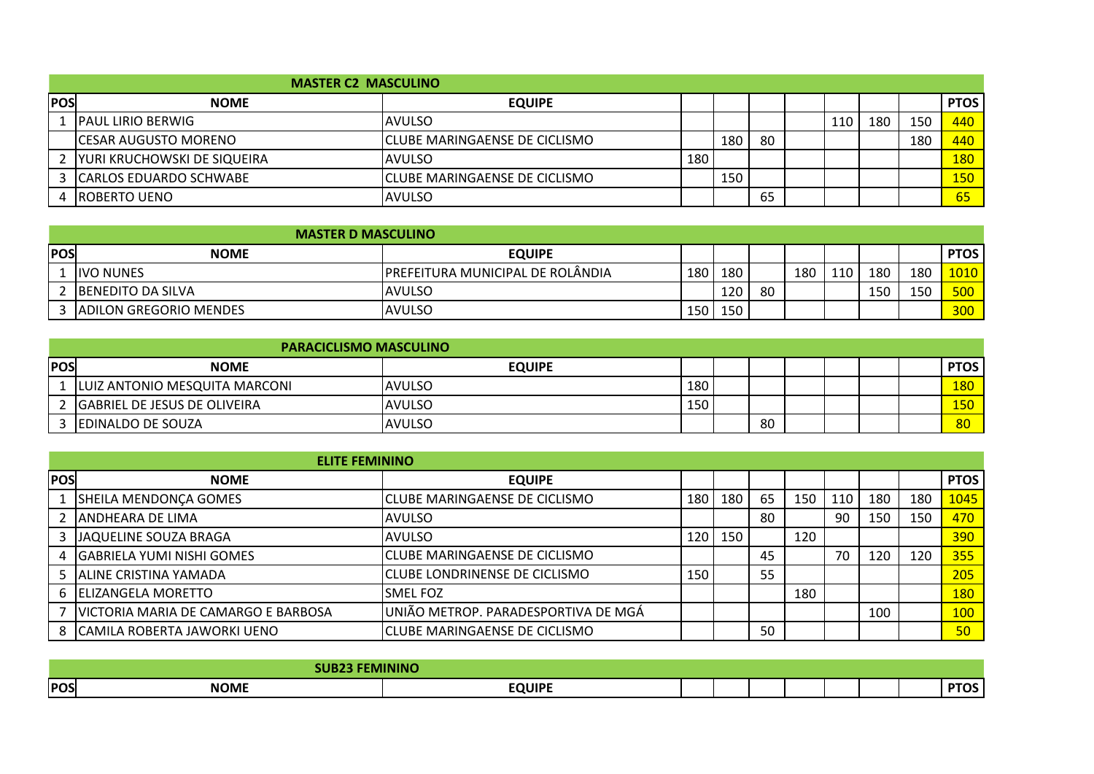|            | <b>MASTER C2 MASCULINO</b>   |                                      |     |     |    |     |     |     |             |
|------------|------------------------------|--------------------------------------|-----|-----|----|-----|-----|-----|-------------|
| <b>POS</b> | <b>NOME</b>                  | <b>EQUIPE</b>                        |     |     |    |     |     |     | <b>PTOS</b> |
|            | <b>IPAUL LIRIO BERWIG</b>    | IAVULSO                              |     |     |    | 110 | 180 | 150 | 440         |
|            | <b>ICESAR AUGUSTO MORENO</b> | <b>CLUBE MARINGAENSE DE CICLISMO</b> |     | 180 | 80 |     |     | 180 | 440         |
|            | YURI KRUCHOWSKI DE SIQUEIRA  | <b>AVULSO</b>                        | 180 |     |    |     |     |     | <b>180</b>  |
|            | 3 CARLOS EDUARDO SCHWABE     | <b>CLUBE MARINGAENSE DE CICLISMO</b> |     | 150 |    |     |     |     | <b>150</b>  |
|            | <b>IROBERTO UENO</b>         | <b>AVULSO</b>                        |     |     | 65 |     |     |     | 65          |

|            | <b>MASTER D MASCULINO</b>     |                                          |     |     |    |     |     |     |     |                  |
|------------|-------------------------------|------------------------------------------|-----|-----|----|-----|-----|-----|-----|------------------|
| <b>POS</b> | <b>NOME</b>                   | <b>EQUIPE</b>                            |     |     |    |     |     |     |     | <b>PTOS</b>      |
|            | <b>IVO NUNES</b>              | <b>IPREFEITURA MUNICIPAL DE ROLÂNDIA</b> | 180 | 180 |    | 180 | 110 | 180 | 180 | 1010             |
|            | 2 BENEDITO DA SILVA           | IAVULSO                                  |     | 120 | 80 |     |     | 150 | 150 | 500 <sub>1</sub> |
|            | <b>ADILON GREGORIO MENDES</b> | <b>AVULSO</b>                            | 150 | 150 |    |     |     |     |     | 300              |
|            |                               |                                          |     |     |    |     |     |     |     |                  |

| <b>PARACICLISMO MASCULINO</b> |                               |                |     |  |    |  |  |  |             |
|-------------------------------|-------------------------------|----------------|-----|--|----|--|--|--|-------------|
| <b>POS</b>                    | <b>NOME</b>                   | <b>EQUIPE</b>  |     |  |    |  |  |  | <b>PTOS</b> |
|                               | LUIZ ANTONIO MESQUITA MARCONI | <b>AVULSO</b>  | 180 |  |    |  |  |  | <b>180</b>  |
|                               | GABRIEL DE JESUS DE OLIVEIRA  | <b>JAVULSO</b> | 150 |  |    |  |  |  | 150         |
|                               | <b>EDINALDO DE SOUZA</b>      | <b>AVULSO</b>  |     |  | 80 |  |  |  | 80          |
|                               |                               |                |     |  |    |  |  |  |             |

|            | <b>ELITE FEMININO</b>               |                                        |       |     |    |     |     |     |     |             |
|------------|-------------------------------------|----------------------------------------|-------|-----|----|-----|-----|-----|-----|-------------|
| <b>POS</b> | <b>NOME</b>                         | <b>EQUIPE</b>                          |       |     |    |     |     |     |     | <b>PTOS</b> |
|            | <b>SHEILA MENDONÇA GOMES</b>        | <b>I</b> CLUBE MARINGAENSE DE CICLISMO | 180   | 180 | 65 | 150 | 110 | 180 | 180 | 1045        |
|            | 2 JANDHEARA DE LIMA                 | IAVULSO                                |       |     | 80 |     | 90  | 150 | 150 | 470         |
|            | 3 JAQUELINE SOUZA BRAGA             | IAVULSO                                | 120 I | 150 |    | 120 |     |     |     | 390         |
|            | 4 GABRIELA YUMI NISHI GOMES         | <b>I</b> CLUBE MARINGAENSE DE CICLISMO |       |     | 45 |     | 70  | 120 | 120 | 355         |
|            | 5 ALINE CRISTINA YAMADA             | ICLUBE LONDRINENSE DE CICLISMO         | 150   |     | 55 |     |     |     |     | 205         |
|            | 6 ELIZANGELA MORETTO                | <b>SMELFOZ</b>                         |       |     |    | 180 |     |     |     | <b>180</b>  |
|            | VICTORIA MARIA DE CAMARGO E BARBOSA | UNIÃO METROP. PARADESPORTIVA DE MGÁ    |       |     |    |     |     | 100 |     | 100         |
|            | 8 ICAMILA ROBERTA JAWORKI UENO      | <b>I</b> CLUBE MARINGAENSE DE CICLISMO |       |     | 50 |     |     |     |     | 50          |

|            |                      | -----------<br>ANV |  |  |  |     |
|------------|----------------------|--------------------|--|--|--|-----|
| <b>POS</b> | <b>NOME</b><br>_____ | <b>EQUIPE</b>      |  |  |  | ___ |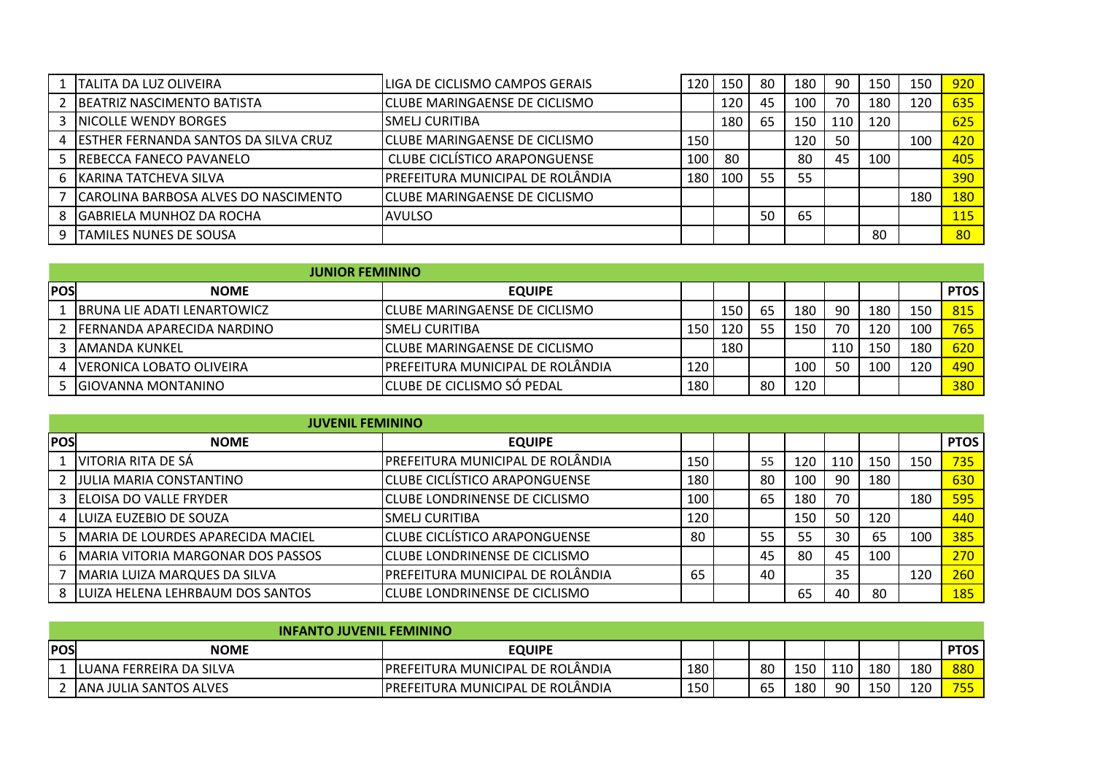|    | ITALITA DA LUZ OLIVEIRA                | LIGA DE CICLISMO CAMPOS GERAIS        | 120 | 150 | 80 | 180 | 90  | 150 | 150 | 920              |
|----|----------------------------------------|---------------------------------------|-----|-----|----|-----|-----|-----|-----|------------------|
|    | BEATRIZ NASCIMENTO BATISTA             | <b>ICLUBE MARINGAENSE DE CICLISMO</b> |     | 120 | 45 | 100 | 70  | 180 | 120 | 635              |
|    | 3 INICOLLE WENDY BORGES                | <b>SMELI CURITIBA</b>                 |     | 180 | 65 | 150 | 110 | 120 |     | 625              |
|    | 4 ESTHER FERNANDA SANTOS DA SILVA CRUZ | ICLUBE MARINGAENSE DE CICLISMO        | 150 |     |    | 120 | 50  |     | 100 | 420              |
|    | 5 REBECCA FANECO PAVANELO              | <b>CLUBE CICLISTICO ARAPONGUENSE</b>  | 100 | 80  |    | 80  | 45  | 100 |     | 405              |
| 6. | KARINA TATCHEVA SILVA                  | IPREFEITURA MUNICIPAL DE ROLÂNDIA     | 180 | 100 | 55 | 55  |     |     |     | 390              |
|    | CAROLINA BARBOSA ALVES DO NASCIMENTO   | ICLUBE MARINGAENSE DE CICLISMO        |     |     |    |     |     |     | 180 | 180 <sup>°</sup> |
| 8  | <b>GABRIELA MUNHOZ DA ROCHA</b>        | IAVULSO                               |     |     | 50 | 65  |     |     |     | 115              |
| q  | TAMILES NUNES DE SOUSA                 |                                       |     |     |    |     |     | 80  |     | 80               |

|            | <b>JUNIOR FEMININO</b>       |                                        |       |     |    |                 |     |     |     |             |
|------------|------------------------------|----------------------------------------|-------|-----|----|-----------------|-----|-----|-----|-------------|
| <b>POS</b> | <b>NOME</b>                  | <b>EQUIPE</b>                          |       |     |    |                 |     |     |     | <b>PTOS</b> |
|            | IBRUNA LIE ADATI LENARTOWICZ | <b>I</b> CLUBE MARINGAENSE DE CICLISMO |       | 150 | 65 | 180             | 90  | 180 | 150 | 815         |
|            | 2 FERNANDA APARECIDA NARDINO | ISMELJ CURITIBA                        | 150 I | 120 | 55 | 150             | 70  | 120 | 100 | 765         |
|            | 3 JAMANDA KUNKEL             | <b>I</b> CLUBE MARINGAENSE DE CICLISMO |       | 180 |    |                 | 110 | 15C | 180 | 620         |
|            | 4   VERONICA LOBATO OLIVEIRA | IPREFEITURA MUNICIPAL DE ROLÂNDIA      | 120   |     |    | 10 <sub>C</sub> | 50  | 10C | 120 | 490         |
|            | 5 GIOVANNA MONTANINO         | <b>ICLUBE DE CICLISMO SÓ PEDAL</b>     | 180   |     | 80 | 120             |     |     |     | 380         |

|            | <b>JUVENIL FEMININO</b>               |                                        |     |    |     |     |     |     |             |
|------------|---------------------------------------|----------------------------------------|-----|----|-----|-----|-----|-----|-------------|
| <b>POS</b> | <b>NOME</b>                           | <b>EQUIPE</b>                          |     |    |     |     |     |     | <b>PTOS</b> |
|            | L  VITORIA RITA DE SÁ                 | PREFEITURA MUNICIPAL DE ROLÂNDIA       | 150 | 55 | 120 | 110 | 150 | 150 | 735         |
|            | 2 JULIA MARIA CONSTANTINO             | <b>CLUBE CICLÍSTICO ARAPONGUENSE</b>   | 180 | 80 | 100 | 90  | 180 |     | 630         |
|            | 3 <b>IELOISA DO VALLE FRYDER</b>      | <b>I</b> CLUBE LONDRINENSE DE CICLISMO | 100 | 65 | 180 | 70  |     | 180 | 595         |
|            | <b>LUIZA EUZEBIO DE SOUZA</b>         | ISMELJ CURITIBA                        | 120 |    | 150 | 50  | 120 |     | 440         |
|            | 5   MARIA DE LOURDES APARECIDA MACIEL | <b>I</b> CLUBE CICLISTICO ARAPONGUENSE | 80  | 55 | 55  | 30  | 65  | 100 | 385         |
|            | 6   MARIA VITORIA MARGONAR DOS PASSOS | <b>CLUBE LONDRINENSE DE CICLISMO</b>   |     | 45 | 80  | 45  | 100 |     | 270         |
|            | MARIA LUIZA MARQUES DA SILVA          | PREFEITURA MUNICIPAL DE ROLÂNDIA       | 65  | 40 |     | 35  |     | 120 | 260         |
|            | 8 LUIZA HELENA LEHRBAUM DOS SANTOS    | <b>CLUBE LONDRINENSE DE CICLISMO</b>   |     |    | 65  | 40  | 80  |     | <b>185</b>  |

|            | <b>INFANTO JUVENIL FEMININO</b> |                                   |     |    |     |     |     |     |             |
|------------|---------------------------------|-----------------------------------|-----|----|-----|-----|-----|-----|-------------|
| <b>POS</b> | <b>NOME</b>                     | <b>EQUIPE</b>                     |     |    |     |     |     |     | <b>PTOS</b> |
|            | ILUANA FERREIRA DA SILVA        | IPREFEITURA MUNICIPAL DE ROLÂNDIA | 180 | 80 | 150 | 110 | 180 | 180 | 880         |
|            | IANA JULIA SANTOS ALVES         | IPREFEITURA MUNICIPAL DE ROLÂNDIA | 150 | ხ5 | 180 | ۹N  | 150 | 120 | <u>JJ</u>   |